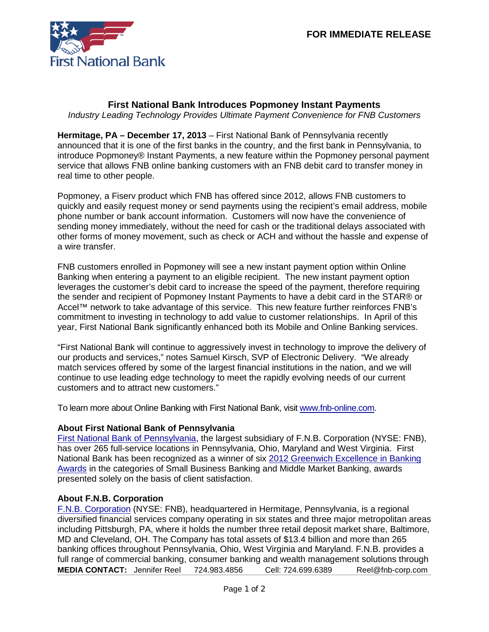

## **First National Bank Introduces Popmoney Instant Payments**

*Industry Leading Technology Provides Ultimate Payment Convenience for FNB Customers*

**Hermitage, PA – December 17, 2013** – First National Bank of Pennsylvania recently announced that it is one of the first banks in the country, and the first bank in Pennsylvania, to introduce Popmoney® Instant Payments, a new feature within the Popmoney personal payment service that allows FNB online banking customers with an FNB debit card to transfer money in real time to other people.

Popmoney, a Fiserv product which FNB has offered since 2012, allows FNB customers to quickly and easily request money or send payments using the recipient's email address, mobile phone number or bank account information. Customers will now have the convenience of sending money immediately, without the need for cash or the traditional delays associated with other forms of money movement, such as check or ACH and without the hassle and expense of a wire transfer.

FNB customers enrolled in Popmoney will see a new instant payment option within Online Banking when entering a payment to an eligible recipient. The new instant payment option leverages the customer's debit card to increase the speed of the payment, therefore requiring the sender and recipient of Popmoney Instant Payments to have a debit card in the STAR® or Accel™ network to take advantage of this service. This new feature further reinforces FNB's commitment to investing in technology to add value to customer relationships. In April of this year, First National Bank significantly enhanced both its Mobile and Online Banking services.

"First National Bank will continue to aggressively invest in technology to improve the delivery of our products and services," notes Samuel Kirsch, SVP of Electronic Delivery. "We already match services offered by some of the largest financial institutions in the nation, and we will continue to use leading edge technology to meet the rapidly evolving needs of our current customers and to attract new customers."

To learn more about Online Banking with First National Bank, visi[t www.fnb-online.com.](http://www.fnb-online.com/)

## **About First National Bank of Pennsylvania**

[First National Bank of Pennsylvania,](https://www.fnb-online.com/) the largest subsidiary of F.N.B. Corporation (NYSE: FNB), has over 265 full-service locations in Pennsylvania, Ohio, Maryland and West Virginia. First National Bank has been recognized as a winner of six 2012 [Greenwich Excellence in Banking](https://www.fnb-online.com/News/2013/February/February212013.aspx)  [Awards](https://www.fnb-online.com/News/2013/February/February212013.aspx) in the categories of Small Business Banking and Middle Market Banking, awards presented solely on the basis of client satisfaction.

## **About F.N.B. Corporation**

[F.N.B. Corporation](http://www.fnbcorporation.com/) (NYSE: FNB), headquartered in Hermitage, Pennsylvania, is a regional diversified financial services company operating in six states and three major metropolitan areas including Pittsburgh, PA, where it holds the number three retail deposit market share, Baltimore, MD and Cleveland, OH. The Company has total assets of \$13.4 billion and more than 265 banking offices throughout Pennsylvania, Ohio, West Virginia and Maryland. F.N.B. provides a full range of commercial banking, consumer banking and wealth management solutions through **MEDIA CONTACT:** Jennifer Reel 724.983.4856 Cell: 724.699.6389 Reel@fnb-corp.com